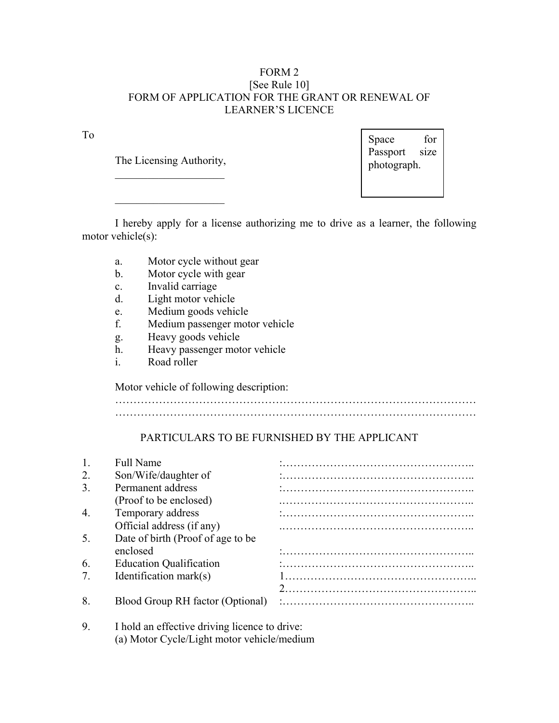## FORM 2 [See Rule 10] FORM OF APPLICATION FOR THE GRANT OR RENEWAL OF LEARNER'S LICENCE

The Licensing Authority,  $\begin{bmatrix} \text{ruspor} \\ \text{photograph.} \end{bmatrix}$  $\mathcal{L}_\text{max}$  , where  $\mathcal{L}_\text{max}$  and  $\mathcal{L}_\text{max}$ 

 $\mathcal{L}_\text{max}$  , where  $\mathcal{L}_\text{max}$  and  $\mathcal{L}_\text{max}$ 

To Space for Passport size

I hereby apply for a license authorizing me to drive as a learner, the following motor vehicle(s):

- a. Motor cycle without gear
- b. Motor cycle with gear
- c. Invalid carriage
- d. Light motor vehicle
- e. Medium goods vehicle
- f. Medium passenger motor vehicle
- g. Heavy goods vehicle
- h. Heavy passenger motor vehicle
- i. Road roller

Motor vehicle of following description:

## PARTICULARS TO BE FURNISHED BY THE APPLICANT

|                | <b>Full Name</b>                  |  |
|----------------|-----------------------------------|--|
| $\overline{2}$ | Son/Wife/daughter of              |  |
| 3.             | Permanent address                 |  |
|                | (Proof to be enclosed)            |  |
| 4              | Temporary address                 |  |
|                | Official address (if any)         |  |
|                | Date of birth (Proof of age to be |  |
|                | enclosed                          |  |
| 6              | <b>Education Qualification</b>    |  |
| 7              | Identification mark $(s)$         |  |
|                |                                   |  |
| 8.             | Blood Group RH factor (Optional)  |  |

9. I hold an effective driving licence to drive: (a) Motor Cycle/Light motor vehicle/medium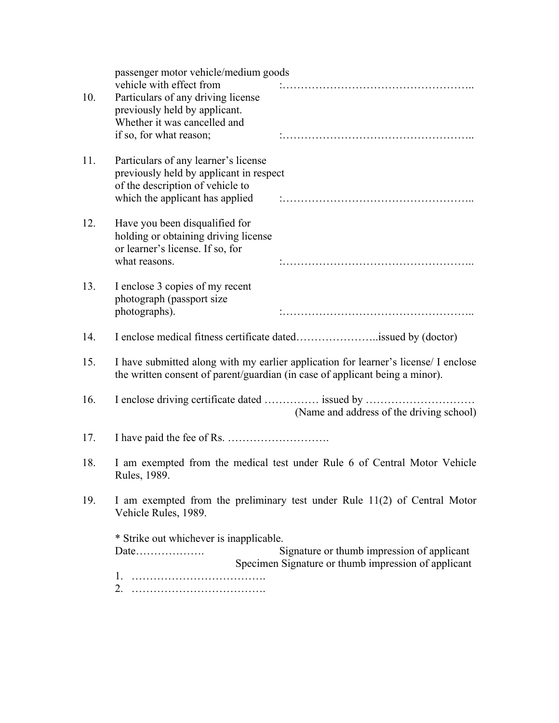| 10. | passenger motor vehicle/medium goods<br>vehicle with effect from<br>Particulars of any driving license<br>previously held by applicant.                |                                                                                                                                                                     |  |  |  |  |  |  |  |  |  |  |  |  |
|-----|--------------------------------------------------------------------------------------------------------------------------------------------------------|---------------------------------------------------------------------------------------------------------------------------------------------------------------------|--|--|--|--|--|--|--|--|--|--|--|--|
|     | Whether it was cancelled and<br>if so, for what reason;                                                                                                |                                                                                                                                                                     |  |  |  |  |  |  |  |  |  |  |  |  |
| 11. | Particulars of any learner's license<br>previously held by applicant in respect<br>of the description of vehicle to<br>which the applicant has applied |                                                                                                                                                                     |  |  |  |  |  |  |  |  |  |  |  |  |
| 12. | Have you been disqualified for<br>holding or obtaining driving license<br>or learner's license. If so, for<br>what reasons.                            |                                                                                                                                                                     |  |  |  |  |  |  |  |  |  |  |  |  |
| 13. | I enclose 3 copies of my recent<br>photograph (passport size<br>photographs).                                                                          |                                                                                                                                                                     |  |  |  |  |  |  |  |  |  |  |  |  |
| 14. |                                                                                                                                                        |                                                                                                                                                                     |  |  |  |  |  |  |  |  |  |  |  |  |
| 15. |                                                                                                                                                        | I have submitted along with my earlier application for learner's license/ I enclose<br>the written consent of parent/guardian (in case of applicant being a minor). |  |  |  |  |  |  |  |  |  |  |  |  |
| 16. | I enclose driving certificate dated  issued by                                                                                                         |                                                                                                                                                                     |  |  |  |  |  |  |  |  |  |  |  |  |
|     |                                                                                                                                                        | (Name and address of the driving school)                                                                                                                            |  |  |  |  |  |  |  |  |  |  |  |  |
| 17. |                                                                                                                                                        |                                                                                                                                                                     |  |  |  |  |  |  |  |  |  |  |  |  |
| 18. | Rules, 1989.                                                                                                                                           | I am exempted from the medical test under Rule 6 of Central Motor Vehicle                                                                                           |  |  |  |  |  |  |  |  |  |  |  |  |
| 19. | I am exempted from the preliminary test under Rule 11(2) of Central Motor<br>Vehicle Rules, 1989.                                                      |                                                                                                                                                                     |  |  |  |  |  |  |  |  |  |  |  |  |
|     | * Strike out whichever is inapplicable.<br>Date                                                                                                        | Signature or thumb impression of applicant<br>Specimen Signature or thumb impression of applicant                                                                   |  |  |  |  |  |  |  |  |  |  |  |  |
|     | 2.                                                                                                                                                     |                                                                                                                                                                     |  |  |  |  |  |  |  |  |  |  |  |  |